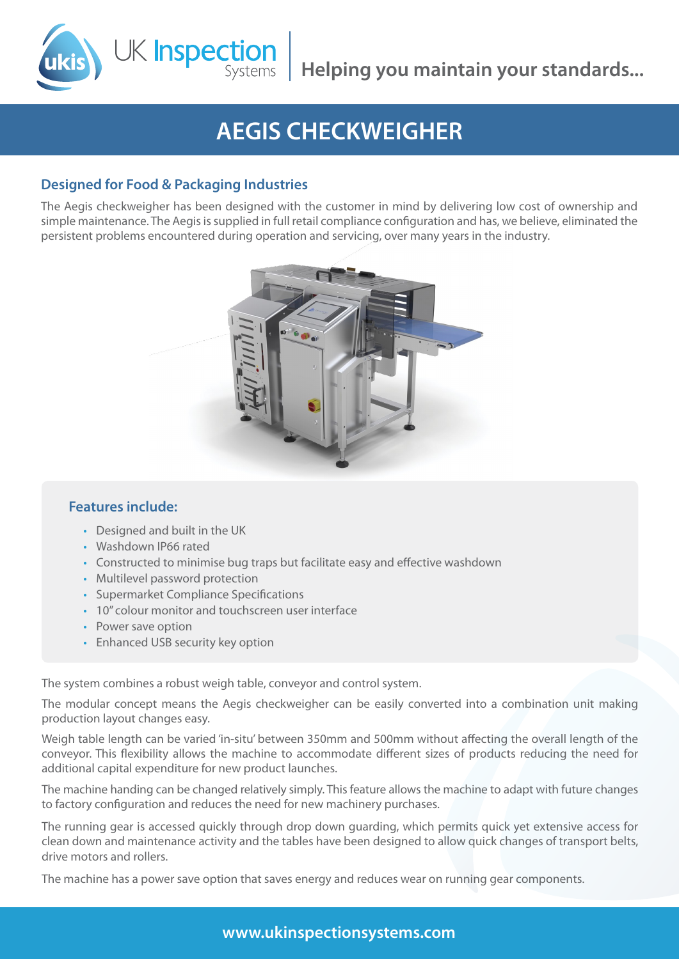# **AEGIS CHECKWEIGHER**

## **Designed for Food & Packaging Industries**

K Inspection

The Aegis checkweigher has been designed with the customer in mind by delivering low cost of ownership and simple maintenance. The Aegis is supplied in full retail compliance configuration and has, we believe, eliminated the persistent problems encountered during operation and servicing, over many years in the industry.



### **Features include:**

- • Designed and built in the UK
- • Washdown IP66 rated
- Constructed to minimise bug traps but facilitate easy and effective washdown
- Multilevel password protection
- • Supermarket Compliance Specifications
- 10" colour monitor and touchscreen user interface
- Power save option
- Enhanced USB security key option

The system combines a robust weigh table, conveyor and control system.

The modular concept means the Aegis checkweigher can be easily converted into a combination unit making production layout changes easy.

Weigh table length can be varied 'in-situ' between 350mm and 500mm without affecting the overall length of the conveyor. This flexibility allows the machine to accommodate different sizes of products reducing the need for additional capital expenditure for new product launches.

The machine handing can be changed relatively simply. This feature allows the machine to adapt with future changes to factory configuration and reduces the need for new machinery purchases.

The running gear is accessed quickly through drop down guarding, which permits quick yet extensive access for clean down and maintenance activity and the tables have been designed to allow quick changes of transport belts, drive motors and rollers.

The machine has a power save option that saves energy and reduces wear on running gear components.

**www.ukinspectionsystems.com**